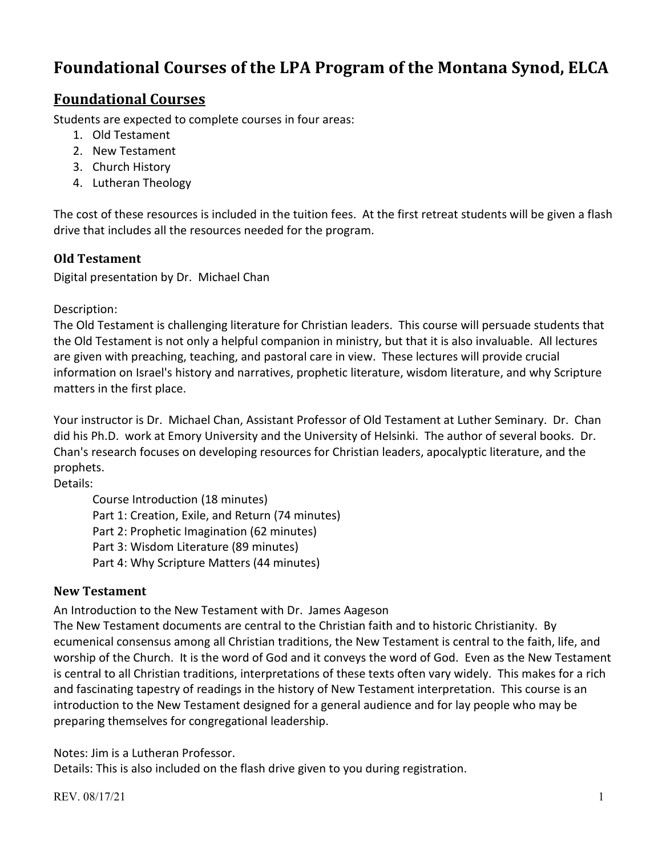# **Foundational Courses of the LPA Program of the Montana Synod, ELCA**

## **Foundational Courses**

Students are expected to complete courses in four areas:

- 1. Old Testament
- 2. New Testament
- 3. Church History
- 4. Lutheran Theology

The cost of these resources is included in the tuition fees. At the first retreat students will be given a flash drive that includes all the resources needed for the program.

### **Old Testament**

Digital presentation by Dr. Michael Chan

Description:

The Old Testament is challenging literature for Christian leaders. This course will persuade students that the Old Testament is not only a helpful companion in ministry, but that it is also invaluable. All lectures are given with preaching, teaching, and pastoral care in view. These lectures will provide crucial information on Israel's history and narratives, prophetic literature, wisdom literature, and why Scripture matters in the first place.

Your instructor is Dr. Michael Chan, Assistant Professor of Old Testament at Luther Seminary. Dr. Chan did his Ph.D. work at Emory University and the University of Helsinki. The author of several books. Dr. Chan's research focuses on developing resources for Christian leaders, apocalyptic literature, and the prophets.

Details:

Course Introduction (18 minutes) Part 1: Creation, Exile, and Return (74 minutes) Part 2: Prophetic Imagination (62 minutes) Part 3: Wisdom Literature (89 minutes) Part 4: Why Scripture Matters (44 minutes)

### **New Testament**

An Introduction to the New Testament with Dr. James Aageson

The New Testament documents are central to the Christian faith and to historic Christianity. By ecumenical consensus among all Christian traditions, the New Testament is central to the faith, life, and worship of the Church. It is the word of God and it conveys the word of God. Even as the New Testament is central to all Christian traditions, interpretations of these texts often vary widely. This makes for a rich and fascinating tapestry of readings in the history of New Testament interpretation. This course is an introduction to the New Testament designed for a general audience and for lay people who may be preparing themselves for congregational leadership.

Notes: Jim is a Lutheran Professor.

Details: This is also included on the flash drive given to you during registration.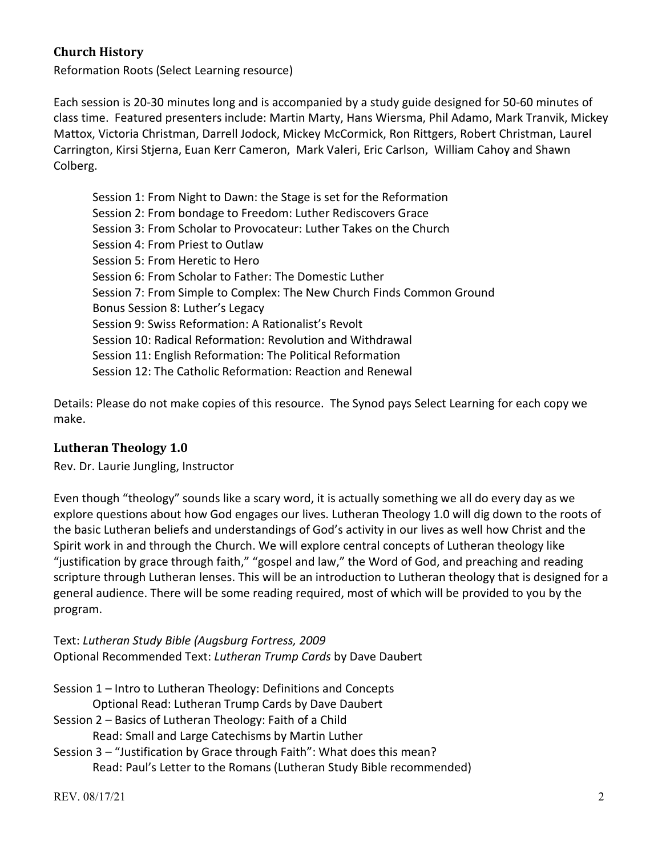### **Church History**

Reformation Roots (Select Learning resource)

Each session is 20-30 minutes long and is accompanied by a study guide designed for 50-60 minutes of class time. Featured presenters include: Martin Marty, Hans Wiersma, Phil Adamo, Mark Tranvik, Mickey Mattox, Victoria Christman, Darrell Jodock, Mickey McCormick, Ron Rittgers, Robert Christman, Laurel Carrington, Kirsi Stjerna, Euan Kerr Cameron, Mark Valeri, Eric Carlson, William Cahoy and Shawn Colberg.

Session 1: From Night to Dawn: the Stage is set for the Reformation Session 2: From bondage to Freedom: Luther Rediscovers Grace Session 3: From Scholar to Provocateur: Luther Takes on the Church Session 4: From Priest to Outlaw Session 5: From Heretic to Hero Session 6: From Scholar to Father: The Domestic Luther Session 7: From Simple to Complex: The New Church Finds Common Ground Bonus Session 8: Luther's Legacy Session 9: Swiss Reformation: A Rationalist's Revolt Session 10: Radical Reformation: Revolution and Withdrawal Session 11: English Reformation: The Political Reformation Session 12: The Catholic Reformation: Reaction and Renewal

Details: Please do not make copies of this resource. The Synod pays Select Learning for each copy we make.

#### **Lutheran Theology 1.0**

Rev. Dr. Laurie Jungling, Instructor

Even though "theology" sounds like a scary word, it is actually something we all do every day as we explore questions about how God engages our lives. Lutheran Theology 1.0 will dig down to the roots of the basic Lutheran beliefs and understandings of God's activity in our lives as well how Christ and the Spirit work in and through the Church. We will explore central concepts of Lutheran theology like "justification by grace through faith," "gospel and law," the Word of God, and preaching and reading scripture through Lutheran lenses. This will be an introduction to Lutheran theology that is designed for a general audience. There will be some reading required, most of which will be provided to you by the program.

Text: *Lutheran Study Bible (Augsburg Fortress, 2009* Optional Recommended Text: *Lutheran Trump Cards* by Dave Daubert

Session 1 – Intro to Lutheran Theology: Definitions and Concepts Optional Read: Lutheran Trump Cards by Dave Daubert Session 2 – Basics of Lutheran Theology: Faith of a Child Read: Small and Large Catechisms by Martin Luther Session 3 – "Justification by Grace through Faith": What does this mean?

Read: Paul's Letter to the Romans (Lutheran Study Bible recommended)